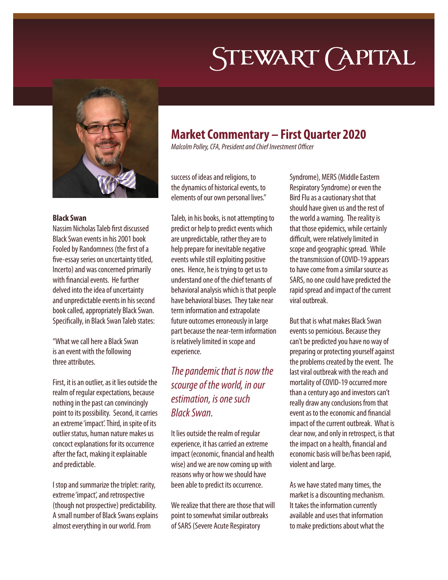# STEWART (APITAL



#### **Black Swan**

Nassim Nicholas Taleb first discussed Black Swan events in his 2001 book Fooled by Randomness (the first of a five-essay series on uncertainty titled, Incerto) and was concerned primarily with financial events. He further delved into the idea of uncertainty and unpredictable events in his second book called, appropriately Black Swan. Specifically, in Black Swan Taleb states:

"What we call here a Black Swan is an event with the following three attributes.

First, it is an outlier, as it lies outside the realm of regular expectations, because nothing in the past can convincingly point to its possibility. Second, it carries an extreme 'impact'. Third, in spite of its outlier status, human nature makes us concoct explanations for its occurrence after the fact, making it explainable and predictable.

I stop and summarize the triplet: rarity, extreme 'impact', and retrospective (though not prospective) predictability. A small number of Black Swans explains almost everything in our world. From

## **Market Commentary – First Quarter 2020**

*Malcolm Polley, CFA, President and Chief Investment Officer*

success of ideas and religions, to the dynamics of historical events, to elements of our own personal lives."

Taleb, in his books, is not attempting to predict or help to predict events which are unpredictable, rather they are to help prepare for inevitable negative events while still exploiting positive ones. Hence, he is trying to get us to understand one of the chief tenants of behavioral analysis which is that people have behavioral biases. They take near term information and extrapolate future outcomes erroneously in large part because the near-term information is relatively limited in scope and experience.

### *The pandemic that is now the scourge of the world, in our estimation, is one such Black Swan.*

It lies outside the realm of regular experience, it has carried an extreme impact (economic, financial and health wise) and we are now coming up with reasons why or how we should have been able to predict its occurrence.

We realize that there are those that will point to somewhat similar outbreaks of SARS (Severe Acute Respiratory

Syndrome), MERS (Middle Eastern Respiratory Syndrome) or even the Bird Flu as a cautionary shot that should have given us and the rest of the world a warning. The reality is that those epidemics, while certainly difficult, were relatively limited in scope and geographic spread. While the transmission of COVID-19 appears to have come from a similar source as SARS, no one could have predicted the rapid spread and impact of the current viral outbreak.

But that is what makes Black Swan events so pernicious. Because they can't be predicted you have no way of preparing or protecting yourself against the problems created by the event. The last viral outbreak with the reach and mortality of COVID-19 occurred more than a century ago and investors can't really draw any conclusions from that event as to the economic and financial impact of the current outbreak. What is clear now, and only in retrospect, is that the impact on a health, financial and economic basis will be/has been rapid, violent and large.

As we have stated many times, the market is a discounting mechanism. It takes the information currently available and uses that information to make predictions about what the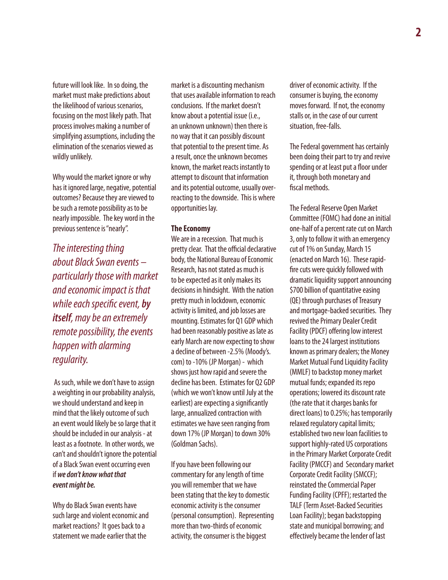future will look like. In so doing, the market must make predictions about the likelihood of various scenarios, focusing on the most likely path. That process involves making a number of simplifying assumptions, including the elimination of the scenarios viewed as wildly unlikely.

Why would the market ignore or why has it ignored large, negative, potential outcomes? Because they are viewed to be such a remote possibility as to be nearly impossible. The key word in the previous sentence is "nearly".

*The interesting thing about Black Swan events – particularly those with market and economic impact is that while each specific event, by itself, may be an extremely remote possibility, the events happen with alarming regularity.*

 As such, while we don't have to assign a weighting in our probability analysis, we should understand and keep in mind that the likely outcome of such an event would likely be so large that it should be included in our analysis - at least as a footnote. In other words, we can't and shouldn't ignore the potential of a Black Swan event occurring even if *we don't know what that event might be.*

Why do Black Swan events have such large and violent economic and market reactions? It goes back to a statement we made earlier that the

market is a discounting mechanism that uses available information to reach conclusions. If the market doesn't know about a potential issue (i.e., an unknown unknown) then there is no way that it can possibly discount that potential to the present time. As a result, once the unknown becomes known, the market reacts instantly to attempt to discount that information and its potential outcome, usually overreacting to the downside. This is where opportunities lay.

#### **The Economy**

We are in a recession. That much is pretty clear. That the official declarative body, the National Bureau of Economic Research, has not stated as much is to be expected as it only makes its decisions in hindsight. With the nation pretty much in lockdown, economic activity is limited, and job losses are mounting. Estimates for Q1 GDP which had been reasonably positive as late as early March are now expecting to show a decline of between -2.5% (Moody's. com) to -10% (JP Morgan) - which shows just how rapid and severe the decline has been. Estimates for Q2 GDP (which we won't know until July at the earliest) are expecting a significantly large, annualized contraction with estimates we have seen ranging from down 17% (JP Morgan) to down 30% (Goldman Sachs).

If you have been following our commentary for any length of time you will remember that we have been stating that the key to domestic economic activity is the consumer (personal consumption). Representing more than two-thirds of economic activity, the consumer is the biggest

driver of economic activity. If the consumer is buying, the economy moves forward. If not, the economy stalls or, in the case of our current situation, free-falls.

The Federal government has certainly been doing their part to try and revive spending or at least put a floor under it, through both monetary and fiscal methods.

The Federal Reserve Open Market Committee (FOMC) had done an initial one-half of a percent rate cut on March 3, only to follow it with an emergency cut of 1% on Sunday, March 15 (enacted on March 16). These rapidfire cuts were quickly followed with dramatic liquidity support announcing \$700 billion of quantitative easing (QE) through purchases of Treasury and mortgage-backed securities. They revived the Primary Dealer Credit Facility (PDCF) offering low interest loans to the 24 largest institutions known as primary dealers; the Money Market Mutual Fund Liquidity Facility (MMLF) to backstop money market mutual funds; expanded its repo operations; lowered its discount rate (the rate that it charges banks for direct loans) to 0.25%; has temporarily relaxed regulatory capital limits; established two new loan facilities to support highly-rated US corporations in the Primary Market Corporate Credit Facility (PMCCF) and Secondary market Corporate Credit Facility (SMCCF); reinstated the Commercial Paper Funding Facility (CPFF); restarted the TALF (Term Asset-Backed Securities Loan Facility); began backstopping state and municipal borrowing; and effectively became the lender of last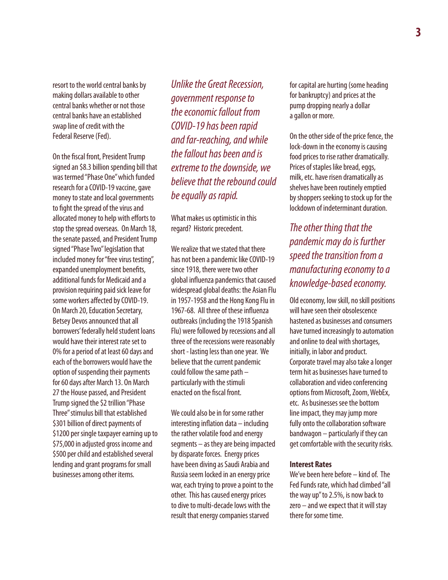resort to the world central banks by making dollars available to other central banks whether or not those central banks have an established swap line of credit with the Federal Reserve (Fed).

On the fiscal front, President Trump signed an \$8.3 billion spending bill that was termed "Phase One" which funded research for a COVID-19 vaccine, gave money to state and local governments to fight the spread of the virus and allocated money to help with efforts to stop the spread overseas. On March 18, the senate passed, and President Trump signed "Phase Two" legislation that included money for "free virus testing", expanded unemployment benefits, additional funds for Medicaid and a provision requiring paid sick leave for some workers affected by COVID-19. On March 20, Education Secretary, Betsey Devos announced that all borrowers' federally held student loans would have their interest rate set to 0% for a period of at least 60 days and each of the borrowers would have the option of suspending their payments for 60 days after March 13. On March 27 the House passed, and President Trump signed the \$2 trillion "Phase Three" stimulus bill that established \$301 billion of direct payments of \$1200 per single taxpayer earning up to \$75,000 in adjusted gross income and \$500 per child and established several lending and grant programs for small businesses among other items.

*Unlike the Great Recession, government response to the economic fallout from COVID-19 has been rapid and far-reaching, and while the fallout has been and is extreme to the downside, we believe that the rebound could be equally as rapid.* 

What makes us optimistic in this regard? Historic precedent.

We realize that we stated that there has not been a pandemic like COVID-19 since 1918, there were two other global influenza pandemics that caused widespread global deaths: the Asian Flu in 1957-1958 and the Hong Kong Flu in 1967-68. All three of these influenza outbreaks (including the 1918 Spanish Flu) were followed by recessions and all three of the recessions were reasonably short - lasting less than one year. We believe that the current pandemic could follow the same path – particularly with the stimuli enacted on the fiscal front.

We could also be in for some rather interesting inflation data – including the rather volatile food and energy segments – as they are being impacted by disparate forces. Energy prices have been diving as Saudi Arabia and Russia seem locked in an energy price war, each trying to prove a point to the other. This has caused energy prices to dive to multi-decade lows with the result that energy companies starved

for capital are hurting (some heading for bankruptcy) and prices at the pump dropping nearly a dollar a gallon or more.

On the other side of the price fence, the lock-down in the economy is causing food prices to rise rather dramatically. Prices of staples like bread, eggs, milk, etc. have risen dramatically as shelves have been routinely emptied by shoppers seeking to stock up for the lockdown of indeterminant duration.

*The other thing that the pandemic may do is further speed the transition from a manufacturing economy to a knowledge-based economy.* 

Old economy, low skill, no skill positions will have seen their obsolescence hastened as businesses and consumers have turned increasingly to automation and online to deal with shortages, initially, in labor and product. Corporate travel may also take a longer term hit as businesses have turned to collaboration and video conferencing options from Microsoft, Zoom, WebEx, etc. As businesses see the bottom line impact, they may jump more fully onto the collaboration software bandwagon – particularly if they can get comfortable with the security risks.

#### **Interest Rates**

We've been here before – kind of. The Fed Funds rate, which had climbed "all the way up" to 2.5%, is now back to zero – and we expect that it will stay there for some time.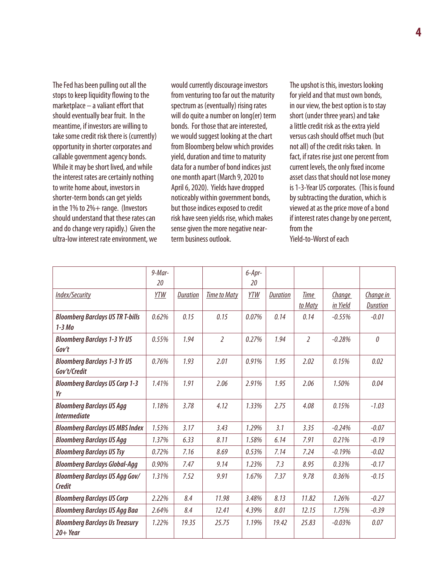The Fed has been pulling out all the stops to keep liquidity flowing to the marketplace – a valiant effort that should eventually bear fruit. In the meantime, if investors are willing to take some credit risk there is (currently) opportunity in shorter corporates and callable government agency bonds. While it may be short lived, and while the interest rates are certainly nothing to write home about, investors in shorter-term bonds can get yields in the 1% to 2%+ range. (Investors should understand that these rates can and do change very rapidly.) Given the ultra-low interest rate environment, we

would currently discourage investors from venturing too far out the maturity spectrum as (eventually) rising rates will do quite a number on long(er) term bonds. For those that are interested, we would suggest looking at the chart from Bloomberg below which provides yield, duration and time to maturity data for a number of bond indices just one month apart (March 9, 2020 to April 6, 2020). Yields have dropped noticeably within government bonds, but those indices exposed to credit risk have seen yields rise, which makes sense given the more negative nearterm business outlook.

The upshot is this, investors looking for yield and that must own bonds, in our view, the best option is to stay short (under three years) and take a little credit risk as the extra yield versus cash should offset much (but not all) of the credit risks taken. In fact, if rates rise just one percent from current levels, the only fixed income asset class that should not lose money is 1-3-Year US corporates. (This is found by subtracting the duration, which is viewed at as the price move of a bond if interest rates change by one percent, from the Yield-to-Worst of each

|                                         | $9$ -Mar- |                 |                     | $6 - Apr -$ |                 |                |               |                 |
|-----------------------------------------|-----------|-----------------|---------------------|-------------|-----------------|----------------|---------------|-----------------|
|                                         | 20        |                 |                     | 20          |                 |                |               |                 |
| Index/Security                          | YTW       | <b>Duration</b> | <b>Time to Maty</b> | <b>YTW</b>  | <b>Duration</b> | Time           | <b>Change</b> | Change in       |
|                                         |           |                 |                     |             |                 | to Maty        | in Yield      | <b>Duration</b> |
| <b>Bloomberg Barclays US TR T-bills</b> | 0.62%     | 0.15            | 0.15                | 0.07%       | 0.14            | 0.14           | $-0.55%$      | $-0.01$         |
| $1-3$ Mo                                |           |                 |                     |             |                 |                |               |                 |
| <b>Bloomberg Barclays 1-3 Yr US</b>     | 0.55%     | 1.94            | $\overline{2}$      | 0.27%       | 1.94            | $\overline{2}$ | $-0.28%$      | 0               |
| Gov't                                   |           |                 |                     |             |                 |                |               |                 |
| <b>Bloomberg Barclays 1-3 Yr US</b>     | 0.76%     | 1.93            | 2.01                | 0.91%       | 1.95            | 2.02           | 0.15%         | 0.02            |
| Gov't/Credit                            |           |                 |                     |             |                 |                |               |                 |
| <b>Bloomberg Barclays US Corp 1-3</b>   | 1.41%     | 1.91            | 2.06                | 2.91%       | 1.95            | 2.06           | 1.50%         | 0.04            |
| Yr                                      |           |                 |                     |             |                 |                |               |                 |
| <b>Bloomberg Barclays US Agg</b>        | 1.18%     | 3.78            | 4.12                | 1.33%       | 2.75            | 4.08           | 0.15%         | $-1.03$         |
| <b>Intermediate</b>                     |           |                 |                     |             |                 |                |               |                 |
| <b>Bloomberg Barclays US MBS Index</b>  | 1.53%     | 3.17            | 3.43                | 1.29%       | 3.1             | 3.35           | $-0.24%$      | $-0.07$         |
| <b>Bloomberg Barclays US Agg</b>        | 1.37%     | 6.33            | 8.11                | 1.58%       | 6.14            | 7.91           | 0.21%         | $-0.19$         |
| <b>Bloomberg Barclays US Tsy</b>        | 0.72%     | 7.16            | 8.69                | 0.53%       | 7.14            | 7.24           | $-0.19%$      | $-0.02$         |
| <b>Bloomberg Barclays Global-Agg</b>    | 0.90%     | 7.47            | 9.14                | 1.23%       | 7.3             | 8.95           | 0.33%         | $-0.17$         |
| <b>Bloomberg Barclays US Agg Gov/</b>   | 1.31%     | 7.52            | 9.91                | 1.67%       | 7.37            | 9.78           | 0.36%         | $-0.15$         |
| <b>Credit</b>                           |           |                 |                     |             |                 |                |               |                 |
| <b>Bloomberg Barclays US Corp</b>       | 2.22%     | 8.4             | 11.98               | 3.48%       | 8.13            | 11.82          | 1.26%         | $-0.27$         |
| <b>Bloomberg Barclays US Agg Baa</b>    | 2.64%     | 8.4             | 12.41               | 4.39%       | 8.01            | 12.15          | 1.75%         | $-0.39$         |
| <b>Bloomberg Barclays Us Treasury</b>   | 1.22%     | 19.35           | 25.75               | 1.19%       | 19.42           | 25.83          | $-0.03%$      | 0.07            |
| $20 + Year$                             |           |                 |                     |             |                 |                |               |                 |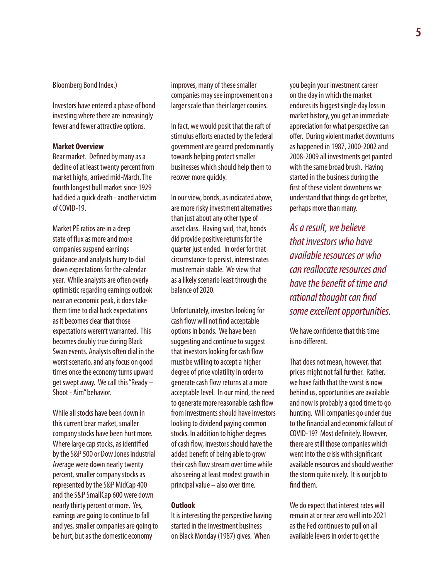Bloomberg Bond Index.)

Investors have entered a phase of bond investing where there are increasingly fewer and fewer attractive options.

#### **Market Overview**

Bear market. Defined by many as a decline of at least twenty percent from market highs, arrived mid-March. The fourth longest bull market since 1929 had died a quick death - another victim of COVID-19.

Market PE ratios are in a deep state of flux as more and more companies suspend earnings guidance and analysts hurry to dial down expectations for the calendar year. While analysts are often overly optimistic regarding earnings outlook near an economic peak, it does take them time to dial back expectations as it becomes clear that those expectations weren't warranted. This becomes doubly true during Black Swan events. Analysts often dial in the worst scenario, and any focus on good times once the economy turns upward get swept away. We call this "Ready – Shoot - Aim" behavior.

While all stocks have been down in this current bear market, smaller company stocks have been hurt more. Where large cap stocks, as identified by the S&P 500 or Dow Jones industrial Average were down nearly twenty percent, smaller company stocks as represented by the S&P MidCap 400 and the S&P SmallCap 600 were down nearly thirty percent or more. Yes, earnings are going to continue to fall and yes, smaller companies are going to be hurt, but as the domestic economy

improves, many of these smaller companies may see improvement on a larger scale than their larger cousins.

In fact, we would posit that the raft of stimulus efforts enacted by the federal government are geared predominantly towards helping protect smaller businesses which should help them to recover more quickly.

In our view, bonds, as indicated above, are more risky investment alternatives than just about any other type of asset class. Having said, that, bonds did provide positive returns for the quarter just ended. In order for that circumstance to persist, interest rates must remain stable. We view that as a likely scenario least through the balance of 2020.

Unfortunately, investors looking for cash flow will not find acceptable options in bonds. We have been suggesting and continue to suggest that investors looking for cash flow must be willing to accept a higher degree of price volatility in order to generate cash flow returns at a more acceptable level. In our mind, the need to generate more reasonable cash flow from investments should have investors looking to dividend paying common stocks. In addition to higher degrees of cash flow, investors should have the added benefit of being able to grow their cash flow stream over time while also seeing at least modest growth in principal value – also over time.

#### **Outlook**

It is interesting the perspective having started in the investment business on Black Monday (1987) gives. When

you begin your investment career on the day in which the market endures its biggest single day loss in market history, you get an immediate appreciation for what perspective can offer. During violent market downturns as happened in 1987, 2000-2002 and 2008-2009 all investments get painted with the same broad brush. Having started in the business during the first of these violent downturns we understand that things do get better, perhaps more than many.

*As a result, we believe that investors who have available resources or who can reallocate resources and have the benefit of time and rational thought can find some excellent opportunities.*

We have confidence that this time is no different.

That does not mean, however, that prices might not fall further. Rather, we have faith that the worst is now behind us, opportunities are available and now is probably a good time to go hunting. Will companies go under due to the financial and economic fallout of COVID-19? Most definitely. However, there are still those companies which went into the crisis with significant available resources and should weather the storm quite nicely. It is our job to find them.

We do expect that interest rates will remain at or near zero well into 2021 as the Fed continues to pull on all available levers in order to get the